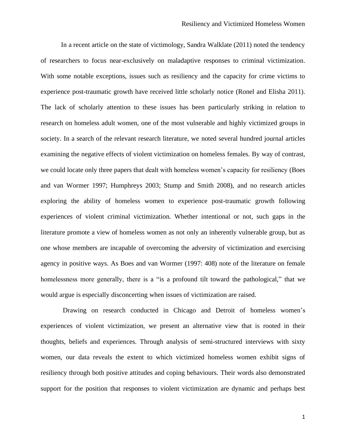In a recent article on the state of victimology, Sandra Walklate (2011) noted the tendency of researchers to focus near-exclusively on maladaptive responses to criminal victimization. With some notable exceptions, issues such as resiliency and the capacity for crime victims to experience post-traumatic growth have received little scholarly notice (Ronel and Elisha 2011). The lack of scholarly attention to these issues has been particularly striking in relation to research on homeless adult women, one of the most vulnerable and highly victimized groups in society. In a search of the relevant research literature, we noted several hundred journal articles examining the negative effects of violent victimization on homeless females. By way of contrast, we could locate only three papers that dealt with homeless women's capacity for resiliency (Boes and van Wormer 1997; Humphreys 2003; Stump and Smith 2008), and no research articles exploring the ability of homeless women to experience post-traumatic growth following experiences of violent criminal victimization. Whether intentional or not, such gaps in the literature promote a view of homeless women as not only an inherently vulnerable group, but as one whose members are incapable of overcoming the adversity of victimization and exercising agency in positive ways. As Boes and van Wormer (1997: 408) note of the literature on female homelessness more generally, there is a "is a profound tilt toward the pathological," that we would argue is especially disconcerting when issues of victimization are raised.

 Drawing on research conducted in Chicago and Detroit of homeless women's experiences of violent victimization, we present an alternative view that is rooted in their thoughts, beliefs and experiences. Through analysis of semi-structured interviews with sixty women, our data reveals the extent to which victimized homeless women exhibit signs of resiliency through both positive attitudes and coping behaviours. Their words also demonstrated support for the position that responses to violent victimization are dynamic and perhaps best

1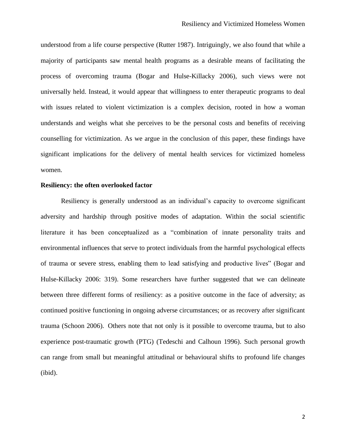understood from a life course perspective (Rutter 1987). Intriguingly, we also found that while a majority of participants saw mental health programs as a desirable means of facilitating the process of overcoming trauma (Bogar and Hulse-Killacky 2006), such views were not universally held. Instead, it would appear that willingness to enter therapeutic programs to deal with issues related to violent victimization is a complex decision, rooted in how a woman understands and weighs what she perceives to be the personal costs and benefits of receiving counselling for victimization. As we argue in the conclusion of this paper, these findings have significant implications for the delivery of mental health services for victimized homeless women.

# **Resiliency: the often overlooked factor**

Resiliency is generally understood as an individual's capacity to overcome significant adversity and hardship through positive modes of adaptation. Within the social scientific literature it has been conceptualized as a "combination of innate personality traits and environmental influences that serve to protect individuals from the harmful psychological effects of trauma or severe stress, enabling them to lead satisfying and productive lives" (Bogar and Hulse-Killacky 2006: 319). Some researchers have further suggested that we can delineate between three different forms of resiliency: as a positive outcome in the face of adversity; as continued positive functioning in ongoing adverse circumstances; or as recovery after significant trauma (Schoon 2006). Others note that not only is it possible to overcome trauma, but to also experience post-traumatic growth (PTG) (Tedeschi and Calhoun 1996). Such personal growth can range from small but meaningful attitudinal or behavioural shifts to profound life changes (ibid).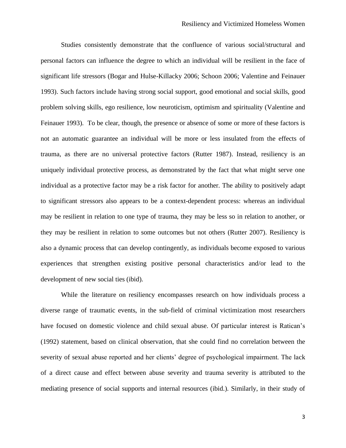Studies consistently demonstrate that the confluence of various social/structural and personal factors can influence the degree to which an individual will be resilient in the face of significant life stressors (Bogar and Hulse-Killacky 2006; Schoon 2006; Valentine and Feinauer 1993). Such factors include having strong social support, good emotional and social skills, good problem solving skills, ego resilience, low neuroticism, optimism and spirituality (Valentine and Feinauer 1993). To be clear, though, the presence or absence of some or more of these factors is not an automatic guarantee an individual will be more or less insulated from the effects of trauma, as there are no universal protective factors (Rutter 1987). Instead, resiliency is an uniquely individual protective process, as demonstrated by the fact that what might serve one individual as a protective factor may be a risk factor for another. The ability to positively adapt to significant stressors also appears to be a context-dependent process: whereas an individual may be resilient in relation to one type of trauma, they may be less so in relation to another, or they may be resilient in relation to some outcomes but not others (Rutter 2007). Resiliency is also a dynamic process that can develop contingently, as individuals become exposed to various experiences that strengthen existing positive personal characteristics and/or lead to the development of new social ties (ibid).

While the literature on resiliency encompasses research on how individuals process a diverse range of traumatic events, in the sub-field of criminal victimization most researchers have focused on domestic violence and child sexual abuse. Of particular interest is Ratican's (1992) statement, based on clinical observation, that she could find no correlation between the severity of sexual abuse reported and her clients' degree of psychological impairment. The lack of a direct cause and effect between abuse severity and trauma severity is attributed to the mediating presence of social supports and internal resources (ibid.). Similarly, in their study of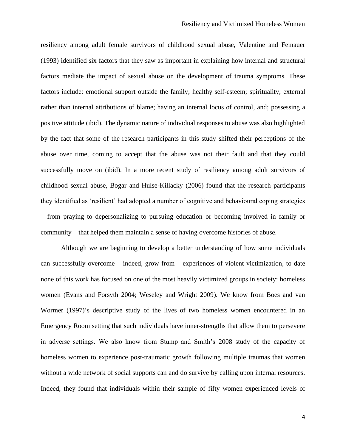resiliency among adult female survivors of childhood sexual abuse, Valentine and Feinauer (1993) identified six factors that they saw as important in explaining how internal and structural factors mediate the impact of sexual abuse on the development of trauma symptoms. These factors include: emotional support outside the family; healthy self-esteem; spirituality; external rather than internal attributions of blame; having an internal locus of control, and; possessing a positive attitude (ibid). The dynamic nature of individual responses to abuse was also highlighted by the fact that some of the research participants in this study shifted their perceptions of the abuse over time, coming to accept that the abuse was not their fault and that they could successfully move on (ibid). In a more recent study of resiliency among adult survivors of childhood sexual abuse, Bogar and Hulse-Killacky (2006) found that the research participants they identified as 'resilient' had adopted a number of cognitive and behavioural coping strategies – from praying to depersonalizing to pursuing education or becoming involved in family or community – that helped them maintain a sense of having overcome histories of abuse.

Although we are beginning to develop a better understanding of how some individuals can successfully overcome – indeed, grow from – experiences of violent victimization, to date none of this work has focused on one of the most heavily victimized groups in society: homeless women (Evans and Forsyth 2004; Weseley and Wright 2009). We know from Boes and van Wormer (1997)'s descriptive study of the lives of two homeless women encountered in an Emergency Room setting that such individuals have inner-strengths that allow them to persevere in adverse settings. We also know from Stump and Smith's 2008 study of the capacity of homeless women to experience post-traumatic growth following multiple traumas that women without a wide network of social supports can and do survive by calling upon internal resources. Indeed, they found that individuals within their sample of fifty women experienced levels of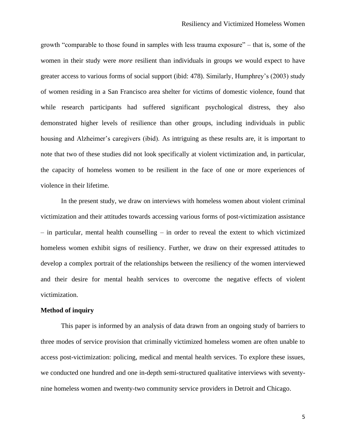growth "comparable to those found in samples with less trauma exposure" – that is, some of the women in their study were *more* resilient than individuals in groups we would expect to have greater access to various forms of social support (ibid: 478). Similarly, Humphrey's (2003) study of women residing in a San Francisco area shelter for victims of domestic violence, found that while research participants had suffered significant psychological distress, they also demonstrated higher levels of resilience than other groups, including individuals in public housing and Alzheimer's caregivers (ibid). As intriguing as these results are, it is important to note that two of these studies did not look specifically at violent victimization and, in particular, the capacity of homeless women to be resilient in the face of one or more experiences of violence in their lifetime.

In the present study, we draw on interviews with homeless women about violent criminal victimization and their attitudes towards accessing various forms of post-victimization assistance – in particular, mental health counselling – in order to reveal the extent to which victimized homeless women exhibit signs of resiliency. Further, we draw on their expressed attitudes to develop a complex portrait of the relationships between the resiliency of the women interviewed and their desire for mental health services to overcome the negative effects of violent victimization.

# **Method of inquiry**

This paper is informed by an analysis of data drawn from an ongoing study of barriers to three modes of service provision that criminally victimized homeless women are often unable to access post-victimization: policing, medical and mental health services. To explore these issues, we conducted one hundred and one in-depth semi-structured qualitative interviews with seventynine homeless women and twenty-two community service providers in Detroit and Chicago.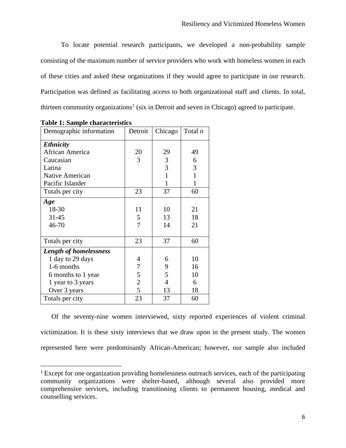To locate potential research participants, we developed a non-probability sample consisting of the maximum number of service providers who work with homeless women in each of these cities and asked these organizations if they would agree to participate in our research. Participation was defined as facilitating access to both organizational staff and clients. In total, thirteen community organizations<sup>1</sup> (six in Detroit and seven in Chicago) agreed to participate.

| Demographic information       | Detroit        | Chicago      | Total n |
|-------------------------------|----------------|--------------|---------|
| <b>Ethnicity</b>              |                |              |         |
| African America               | 20             | 29           | 49      |
| Caucasian                     | 3              | 3            | 6       |
| Latina                        |                | 3            | 3       |
| <b>Native American</b>        |                | $\mathbf{1}$ | 1       |
| Pacific Islander              |                | 1            | 1       |
| Totals per city               | 23             | 37           | 60      |
| Age                           |                |              |         |
| 18-30                         | 11             | 10           | 21      |
| 31-45                         | 5              | 13           | 18      |
| 46-70                         | 7              | 14           | 21      |
|                               |                |              |         |
| Totals per city               | 23             | 37           | 60      |
| <b>Length of homelessness</b> |                |              |         |
| 1 day to 29 days              | 4              | 6            | 10      |
| 1-6 months                    | 7              | 9            | 16      |
| 6 months to 1 year            | 5              | 5            | 10      |
| 1 year to 3 years             | $\overline{c}$ | 4            | 6       |
| Over 3 years                  | 5              | 13           | 18      |
| Totals per city               | 23             | 37           | 60      |

**Table 1: Sample characteristics**

Of the seventy-nine women interviewed, sixty reported experiences of violent criminal victimization. It is these sixty interviews that we draw upon in the present study. The women represented here were predominantly African-American; however, our sample also included

<sup>&</sup>lt;sup>1</sup> Except for one organization providing homelessness outreach services, each of the participating community organizations were shelter-based, although several also provided more comprehensive services, including transitioning clients to permanent housing, medical and counselling services.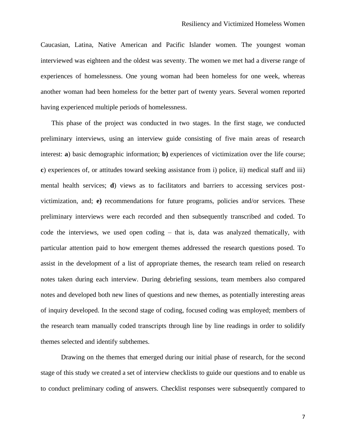Caucasian, Latina, Native American and Pacific Islander women. The youngest woman interviewed was eighteen and the oldest was seventy. The women we met had a diverse range of experiences of homelessness. One young woman had been homeless for one week, whereas another woman had been homeless for the better part of twenty years. Several women reported having experienced multiple periods of homelessness.

This phase of the project was conducted in two stages. In the first stage, we conducted preliminary interviews, using an interview guide consisting of five main areas of research interest: **a**) basic demographic information; **b)** experiences of victimization over the life course; **c**) experiences of, or attitudes toward seeking assistance from i) police, ii) medical staff and iii) mental health services; **d**) views as to facilitators and barriers to accessing services postvictimization, and; **e)** recommendations for future programs, policies and/or services. These preliminary interviews were each recorded and then subsequently transcribed and coded. To code the interviews, we used open coding – that is, data was analyzed thematically, with particular attention paid to how emergent themes addressed the research questions posed. To assist in the development of a list of appropriate themes, the research team relied on research notes taken during each interview. During debriefing sessions, team members also compared notes and developed both new lines of questions and new themes, as potentially interesting areas of inquiry developed. In the second stage of coding, focused coding was employed; members of the research team manually coded transcripts through line by line readings in order to solidify themes selected and identify subthemes.

Drawing on the themes that emerged during our initial phase of research, for the second stage of this study we created a set of interview checklists to guide our questions and to enable us to conduct preliminary coding of answers. Checklist responses were subsequently compared to

7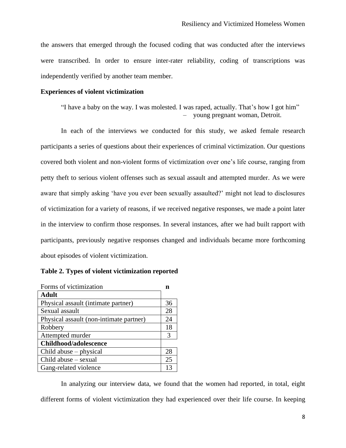the answers that emerged through the focused coding that was conducted after the interviews were transcribed. In order to ensure inter-rater reliability, coding of transcriptions was independently verified by another team member.

#### **Experiences of violent victimization**

```
"I have a baby on the way. I was molested. I was raped, actually. That's how I got him" 
                                    – young pregnant woman, Detroit.
```
In each of the interviews we conducted for this study, we asked female research participants a series of questions about their experiences of criminal victimization. Our questions covered both violent and non-violent forms of victimization over one's life course, ranging from petty theft to serious violent offenses such as sexual assault and attempted murder. As we were aware that simply asking 'have you ever been sexually assaulted?' might not lead to disclosures of victimization for a variety of reasons, if we received negative responses, we made a point later in the interview to confirm those responses. In several instances, after we had built rapport with participants, previously negative responses changed and individuals became more forthcoming about episodes of violent victimization.

| Forms of victimization                  |    |
|-----------------------------------------|----|
| <b>Adult</b>                            |    |
| Physical assault (intimate partner)     | 36 |
| Sexual assault                          | 28 |
| Physical assault (non-intimate partner) | 24 |
| Robbery                                 | 18 |
| Attempted murder                        | 3  |
| Childhood/adolescence                   |    |
| Child abuse $-$ physical                | 28 |
| $Child$ abuse $-$ sexual                | 25 |
| Gang-related violence                   | 12 |

| Table 2. Types of violent victimization reported |
|--------------------------------------------------|
|--------------------------------------------------|

In analyzing our interview data, we found that the women had reported, in total, eight different forms of violent victimization they had experienced over their life course. In keeping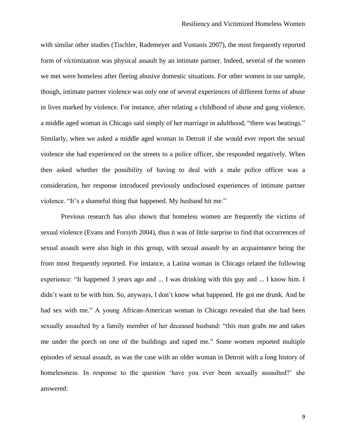with similar other studies (Tischler, Rademeyer and Vostanis 2007), the most frequently reported form of victimization was physical assault by an intimate partner. Indeed, several of the women we met were homeless after fleeing abusive domestic situations. For other women in our sample, though, intimate partner violence was only one of several experiences of different forms of abuse in lives marked by violence. For instance, after relating a childhood of abuse and gang violence, a middle aged woman in Chicago said simply of her marriage in adulthood, "there was beatings." Similarly, when we asked a middle aged woman in Detroit if she would ever report the sexual violence she had experienced on the streets to a police officer, she responded negatively. When then asked whether the possibility of having to deal with a male police officer was a consideration, her response introduced previously undisclosed experiences of intimate partner violence. "It's a shameful thing that happened. My husband hit me."

Previous research has also shown that homeless women are frequently the victims of sexual violence (Evans and Forsyth 2004), thus it was of little surprise to find that occurrences of sexual assault were also high in this group, with sexual assault by an acquaintance being the from most frequently reported. For instance, a Latina woman in Chicago related the following experience: "It happened 3 years ago and ... I was drinking with this guy and ... I know him. I didn't want to be with him. So, anyways, I don't know what happened. He got me drunk. And he had sex with me." A young African-American woman in Chicago revealed that she had been sexually assaulted by a family member of her deceased husband: "this man grabs me and takes me under the porch on one of the buildings and raped me." Some women reported multiple episodes of sexual assault, as was the case with an older woman in Detroit with a long history of homelessness. In response to the question 'have you ever been sexually assaulted?' she answered: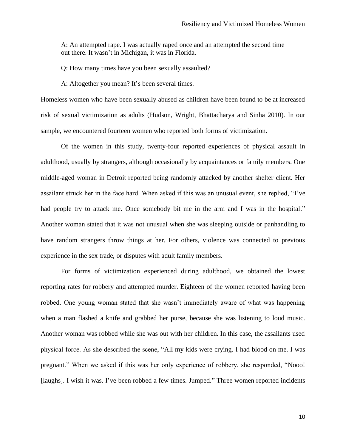A: An attempted rape. I was actually raped once and an attempted the second time out there. It wasn't in Michigan, it was in Florida.

Q: How many times have you been sexually assaulted?

A: Altogether you mean? It's been several times.

Homeless women who have been sexually abused as children have been found to be at increased risk of sexual victimization as adults (Hudson, Wright, Bhattacharya and Sinha 2010). In our sample, we encountered fourteen women who reported both forms of victimization.

Of the women in this study, twenty-four reported experiences of physical assault in adulthood, usually by strangers, although occasionally by acquaintances or family members. One middle-aged woman in Detroit reported being randomly attacked by another shelter client. Her assailant struck her in the face hard. When asked if this was an unusual event, she replied, "I've had people try to attack me. Once somebody bit me in the arm and I was in the hospital." Another woman stated that it was not unusual when she was sleeping outside or panhandling to have random strangers throw things at her. For others, violence was connected to previous experience in the sex trade, or disputes with adult family members.

For forms of victimization experienced during adulthood, we obtained the lowest reporting rates for robbery and attempted murder. Eighteen of the women reported having been robbed. One young woman stated that she wasn't immediately aware of what was happening when a man flashed a knife and grabbed her purse, because she was listening to loud music. Another woman was robbed while she was out with her children. In this case, the assailants used physical force. As she described the scene, "All my kids were crying. I had blood on me. I was pregnant." When we asked if this was her only experience of robbery, she responded, "Nooo! [laughs]. I wish it was. I've been robbed a few times. Jumped." Three women reported incidents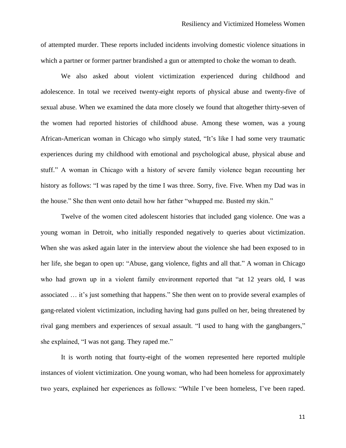of attempted murder. These reports included incidents involving domestic violence situations in which a partner or former partner brandished a gun or attempted to choke the woman to death.

We also asked about violent victimization experienced during childhood and adolescence. In total we received twenty-eight reports of physical abuse and twenty-five of sexual abuse. When we examined the data more closely we found that altogether thirty-seven of the women had reported histories of childhood abuse. Among these women, was a young African-American woman in Chicago who simply stated, "It's like I had some very traumatic experiences during my childhood with emotional and psychological abuse, physical abuse and stuff." A woman in Chicago with a history of severe family violence began recounting her history as follows: "I was raped by the time I was three. Sorry, five. Five. When my Dad was in the house." She then went onto detail how her father "whupped me. Busted my skin."

Twelve of the women cited adolescent histories that included gang violence. One was a young woman in Detroit, who initially responded negatively to queries about victimization. When she was asked again later in the interview about the violence she had been exposed to in her life, she began to open up: "Abuse, gang violence, fights and all that." A woman in Chicago who had grown up in a violent family environment reported that "at 12 years old, I was associated … it's just something that happens." She then went on to provide several examples of gang-related violent victimization, including having had guns pulled on her, being threatened by rival gang members and experiences of sexual assault. "I used to hang with the gangbangers," she explained, "I was not gang. They raped me."

It is worth noting that fourty-eight of the women represented here reported multiple instances of violent victimization. One young woman, who had been homeless for approximately two years, explained her experiences as follows: "While I've been homeless, I've been raped.

11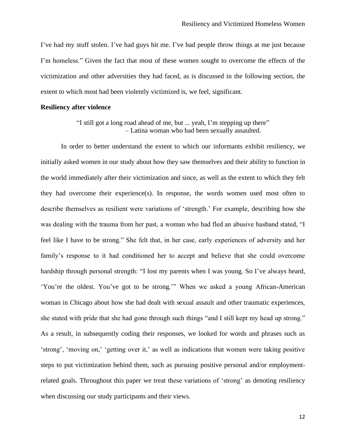I've had my stuff stolen. I've had guys hit me. I've had people throw things at me just because I'm homeless." Given the fact that most of these women sought to overcome the effects of the victimization and other adversities they had faced, as is discussed in the following section, the extent to which most had been violently victimized is, we feel, significant.

## **Resiliency after violence**

"I still got a long road ahead of me, but ... yeah, I'm stepping up there" – Latina woman who had been sexually assaulted.

In order to better understand the extent to which our informants exhibit resiliency, we initially asked women in our study about how they saw themselves and their ability to function in the world immediately after their victimization and since, as well as the extent to which they felt they had overcome their experience(s). In response, the words women used most often to describe themselves as resilient were variations of 'strength.' For example, describing how she was dealing with the trauma from her past, a woman who had fled an abusive husband stated, "I feel like I have to be strong." She felt that, in her case, early experiences of adversity and her family's response to it had conditioned her to accept and believe that she could overcome hardship through personal strength: "I lost my parents when I was young. So I've always heard, 'You're the oldest. You've got to be strong.'" When we asked a young African-American woman in Chicago about how she had dealt with sexual assault and other traumatic experiences, she stated with pride that she had gone through such things "and I still kept my head up strong." As a result, in subsequently coding their responses, we looked for words and phrases such as 'strong', 'moving on,' 'getting over it,' as well as indications that women were taking positive steps to put victimization behind them, such as pursuing positive personal and/or employmentrelated goals. Throughout this paper we treat these variations of 'strong' as denoting resiliency when discussing our study participants and their views.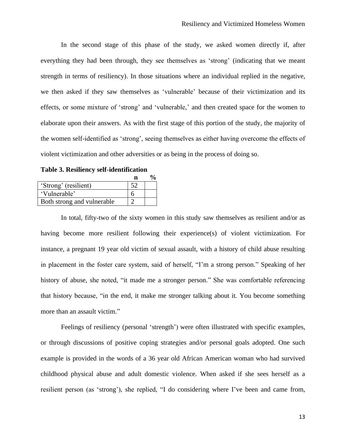In the second stage of this phase of the study, we asked women directly if, after everything they had been through, they see themselves as 'strong' (indicating that we meant strength in terms of resiliency). In those situations where an individual replied in the negative, we then asked if they saw themselves as 'vulnerable' because of their victimization and its effects, or some mixture of 'strong' and 'vulnerable,' and then created space for the women to elaborate upon their answers. As with the first stage of this portion of the study, the majority of the women self-identified as 'strong', seeing themselves as either having overcome the effects of violent victimization and other adversities or as being in the process of doing so.

**Table 3. Resiliency self-identification**

| 'Strong' (resilient)       |  |
|----------------------------|--|
| 'Vulnerable'               |  |
| Both strong and vulnerable |  |

In total, fifty-two of the sixty women in this study saw themselves as resilient and/or as having become more resilient following their experience(s) of violent victimization. For instance, a pregnant 19 year old victim of sexual assault, with a history of child abuse resulting in placement in the foster care system, said of herself, "I'm a strong person." Speaking of her history of abuse, she noted, "it made me a stronger person." She was comfortable referencing that history because, "in the end, it make me stronger talking about it. You become something more than an assault victim."

Feelings of resiliency (personal 'strength') were often illustrated with specific examples, or through discussions of positive coping strategies and/or personal goals adopted. One such example is provided in the words of a 36 year old African American woman who had survived childhood physical abuse and adult domestic violence. When asked if she sees herself as a resilient person (as 'strong'), she replied, "I do considering where I've been and came from,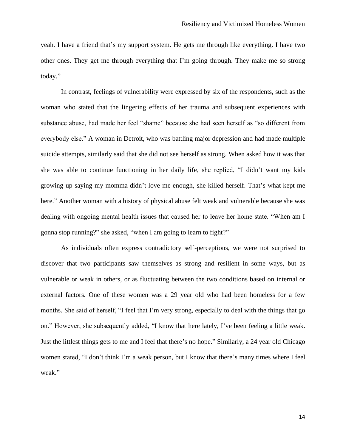yeah. I have a friend that's my support system. He gets me through like everything. I have two other ones. They get me through everything that I'm going through. They make me so strong today."

In contrast, feelings of vulnerability were expressed by six of the respondents, such as the woman who stated that the lingering effects of her trauma and subsequent experiences with substance abuse, had made her feel "shame" because she had seen herself as "so different from everybody else." A woman in Detroit, who was battling major depression and had made multiple suicide attempts, similarly said that she did not see herself as strong. When asked how it was that she was able to continue functioning in her daily life, she replied, "I didn't want my kids growing up saying my momma didn't love me enough, she killed herself. That's what kept me here." Another woman with a history of physical abuse felt weak and vulnerable because she was dealing with ongoing mental health issues that caused her to leave her home state. "When am I gonna stop running?" she asked, "when I am going to learn to fight?"

As individuals often express contradictory self-perceptions, we were not surprised to discover that two participants saw themselves as strong and resilient in some ways, but as vulnerable or weak in others, or as fluctuating between the two conditions based on internal or external factors. One of these women was a 29 year old who had been homeless for a few months. She said of herself, "I feel that I'm very strong, especially to deal with the things that go on." However, she subsequently added, "I know that here lately, I've been feeling a little weak. Just the littlest things gets to me and I feel that there's no hope." Similarly, a 24 year old Chicago women stated, "I don't think I'm a weak person, but I know that there's many times where I feel weak."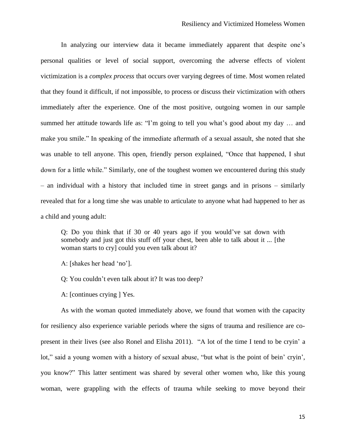In analyzing our interview data it became immediately apparent that despite one's personal qualities or level of social support, overcoming the adverse effects of violent victimization is a *complex process* that occurs over varying degrees of time. Most women related that they found it difficult, if not impossible, to process or discuss their victimization with others immediately after the experience. One of the most positive, outgoing women in our sample summed her attitude towards life as: "I'm going to tell you what's good about my day … and make you smile." In speaking of the immediate aftermath of a sexual assault, she noted that she was unable to tell anyone. This open, friendly person explained, "Once that happened, I shut down for a little while." Similarly, one of the toughest women we encountered during this study – an individual with a history that included time in street gangs and in prisons – similarly revealed that for a long time she was unable to articulate to anyone what had happened to her as a child and young adult:

Q: Do you think that if 30 or 40 years ago if you would've sat down with somebody and just got this stuff off your chest, been able to talk about it ... [the woman starts to cry] could you even talk about it?

A: [shakes her head 'no'].

Q: You couldn't even talk about it? It was too deep?

A: [continues crying ] Yes.

As with the woman quoted immediately above, we found that women with the capacity for resiliency also experience variable periods where the signs of trauma and resilience are copresent in their lives (see also Ronel and Elisha 2011). "A lot of the time I tend to be cryin' a lot," said a young women with a history of sexual abuse, "but what is the point of bein' cryin', you know?" This latter sentiment was shared by several other women who, like this young woman, were grappling with the effects of trauma while seeking to move beyond their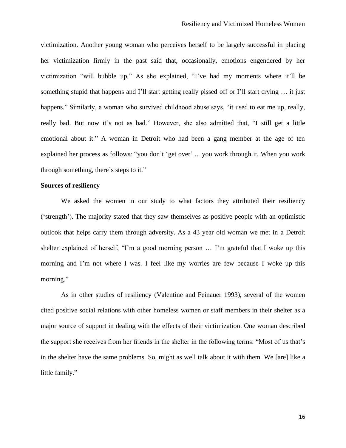victimization. Another young woman who perceives herself to be largely successful in placing her victimization firmly in the past said that, occasionally, emotions engendered by her victimization "will bubble up." As she explained, "I've had my moments where it'll be something stupid that happens and I'll start getting really pissed off or I'll start crying ... it just happens." Similarly, a woman who survived childhood abuse says, "it used to eat me up, really, really bad. But now it's not as bad." However, she also admitted that, "I still get a little emotional about it." A woman in Detroit who had been a gang member at the age of ten explained her process as follows: "you don't 'get over' ... you work through it. When you work through something, there's steps to it."

## **Sources of resiliency**

We asked the women in our study to what factors they attributed their resiliency ('strength'). The majority stated that they saw themselves as positive people with an optimistic outlook that helps carry them through adversity. As a 43 year old woman we met in a Detroit shelter explained of herself, "I'm a good morning person … I'm grateful that I woke up this morning and I'm not where I was. I feel like my worries are few because I woke up this morning."

As in other studies of resiliency (Valentine and Feinauer 1993), several of the women cited positive social relations with other homeless women or staff members in their shelter as a major source of support in dealing with the effects of their victimization. One woman described the support she receives from her friends in the shelter in the following terms: "Most of us that's in the shelter have the same problems. So, might as well talk about it with them. We [are] like a little family."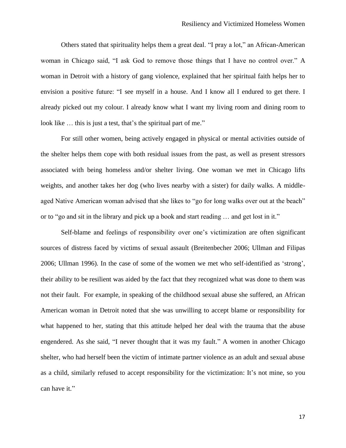Others stated that spirituality helps them a great deal. "I pray a lot," an African-American woman in Chicago said, "I ask God to remove those things that I have no control over." A woman in Detroit with a history of gang violence, explained that her spiritual faith helps her to envision a positive future: "I see myself in a house. And I know all I endured to get there. I already picked out my colour. I already know what I want my living room and dining room to look like ... this is just a test, that's the spiritual part of me."

For still other women, being actively engaged in physical or mental activities outside of the shelter helps them cope with both residual issues from the past, as well as present stressors associated with being homeless and/or shelter living. One woman we met in Chicago lifts weights, and another takes her dog (who lives nearby with a sister) for daily walks. A middleaged Native American woman advised that she likes to "go for long walks over out at the beach" or to "go and sit in the library and pick up a book and start reading … and get lost in it."

Self-blame and feelings of responsibility over one's victimization are often significant sources of distress faced by victims of sexual assault (Breitenbecher 2006; Ullman and Filipas 2006; Ullman 1996). In the case of some of the women we met who self-identified as 'strong', their ability to be resilient was aided by the fact that they recognized what was done to them was not their fault. For example, in speaking of the childhood sexual abuse she suffered, an African American woman in Detroit noted that she was unwilling to accept blame or responsibility for what happened to her, stating that this attitude helped her deal with the trauma that the abuse engendered. As she said, "I never thought that it was my fault." A women in another Chicago shelter, who had herself been the victim of intimate partner violence as an adult and sexual abuse as a child, similarly refused to accept responsibility for the victimization: It's not mine, so you can have it."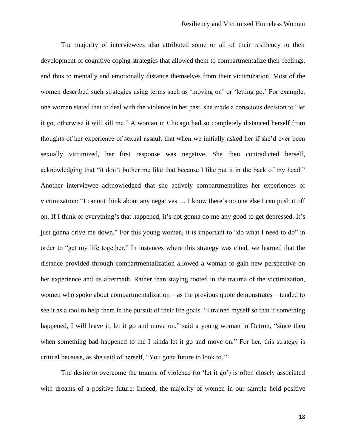The majority of interviewees also attributed some or all of their resiliency to their development of cognitive coping strategies that allowed them to compartmentalize their feelings, and thus to mentally and emotionally distance themselves from their victimization. Most of the women described such strategies using terms such as 'moving on' or 'letting go.' For example, one woman stated that to deal with the violence in her past, she made a conscious decision to "let it go, otherwise it will kill me." A woman in Chicago had so completely distanced herself from thoughts of her experience of sexual assault that when we initially asked her if she'd ever been sexually victimized, her first response was negative. She then contradicted herself, acknowledging that "it don't bother me like that because I like put it in the back of my head." Another interviewee acknowledged that she actively compartmentalizes her experiences of victimization: "I cannot think about any negatives … I know there's no one else I can push it off on. If I think of everything's that happened, it's not gonna do me any good to get depressed. It's just gonna drive me down." For this young woman, it is important to "do what I need to do" in order to "get my life together." In instances where this strategy was cited, we learned that the distance provided through compartmentalization allowed a woman to gain new perspective on her experience and its aftermath. Rather than staying rooted in the trauma of the victimization, women who spoke about compartmentalization – as the previous quote demonstrates – tended to see it as a tool to help them in the pursuit of their life goals. "I trained myself so that if something happened, I will leave it, let it go and move on," said a young woman in Detroit, "since then when something bad happened to me I kinda let it go and move on." For her, this strategy is critical because, as she said of herself, "You gotta future to look to.'"

The desire to overcome the trauma of violence (to 'let it go') is often closely associated with dreams of a positive future. Indeed, the majority of women in our sample held positive

18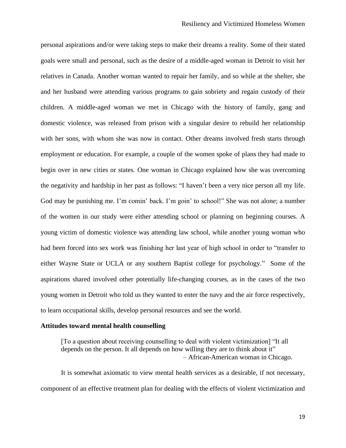personal aspirations and/or were taking steps to make their dreams a reality. Some of their stated goals were small and personal, such as the desire of a middle-aged woman in Detroit to visit her relatives in Canada. Another woman wanted to repair her family, and so while at the shelter, she and her husband were attending various programs to gain sobriety and regain custody of their children. A middle-aged woman we met in Chicago with the history of family, gang and domestic violence, was released from prison with a singular desire to rebuild her relationship with her sons, with whom she was now in contact. Other dreams involved fresh starts through employment or education. For example, a couple of the women spoke of plans they had made to begin over in new cities or states. One woman in Chicago explained how she was overcoming the negativity and hardship in her past as follows: "I haven't been a very nice person all my life. God may be punishing me. I'm comin' back. I'm goin' to school!" She was not alone; a number of the women in our study were either attending school or planning on beginning courses. A young victim of domestic violence was attending law school, while another young woman who had been forced into sex work was finishing her last year of high school in order to "transfer to either Wayne State or UCLA or any southern Baptist college for psychology." Some of the aspirations shared involved other potentially life-changing courses, as in the cases of the two young women in Detroit who told us they wanted to enter the navy and the air force respectively, to learn occupational skills, develop personal resources and see the world.

# **Attitudes toward mental health counselling**

[To a question about receiving counselling to deal with violent victimization] "It all depends on the person. It all depends on how willing they are to think about it" – African-American woman in Chicago.

It is somewhat axiomatic to view mental health services as a desirable, if not necessary, component of an effective treatment plan for dealing with the effects of violent victimization and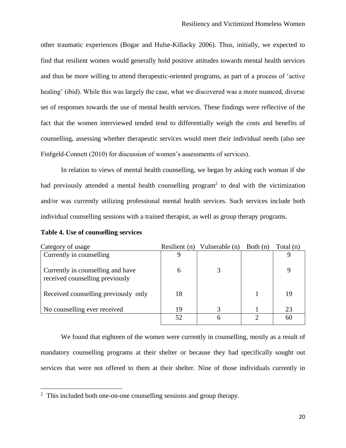other traumatic experiences (Bogar and Hulse-Killacky 2006). Thus, initially, we expected to find that resilient women would generally hold positive attitudes towards mental health services and thus be more willing to attend therapeutic-oriented programs, as part of a process of 'active healing' (ibid). While this was largely the case, what we discovered was a more nuanced, diverse set of responses towards the use of mental health services. These findings were reflective of the fact that the women interviewed tended tend to differentially weigh the costs and benefits of counselling, assessing whether therapeutic services would meet their individual needs (also see Finfgeld-Connett (2010) for discussion of women's assessments of services).

In relation to views of mental health counselling, we began by asking each woman if she had previously attended a mental health counselling program<sup>2</sup> to deal with the victimization and/or was currently utilizing professional mental health services. Such services include both individual counselling sessions with a trained therapist, as well as group therapy programs.

| Category of usage                                                    | Resilient (n) | Vulnerable (n) | Both $(n)$ | Total $(n)$ |
|----------------------------------------------------------------------|---------------|----------------|------------|-------------|
| Currently in counselling                                             | Q             |                |            |             |
| Currently in counselling and have<br>received counselling previously | 6             |                |            | Q           |
| Received counselling previously only                                 | 18            |                |            | 19          |
| No counselling ever received                                         | 19            | 3              |            | 23          |
|                                                                      |               | h              |            | 60          |

|  | <b>Table 4. Use of counselling services</b> |  |
|--|---------------------------------------------|--|
|  |                                             |  |

We found that eighteen of the women were currently in counselling, mostly as a result of mandatory counselling programs at their shelter or because they had specifically sought out services that were not offered to them at their shelter. Nine of those individuals currently in

<sup>&</sup>lt;sup>2</sup> This included both one-on-one counselling sessions and group therapy.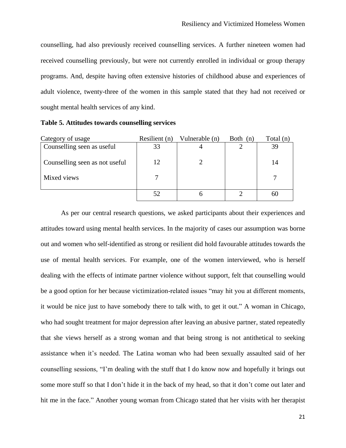counselling, had also previously received counselling services. A further nineteen women had received counselling previously, but were not currently enrolled in individual or group therapy programs. And, despite having often extensive histories of childhood abuse and experiences of adult violence, twenty-three of the women in this sample stated that they had not received or sought mental health services of any kind.

| Category of usage              | Resilient (n) | Vulnerable (n) | Both $(n)$ | Total (n) |
|--------------------------------|---------------|----------------|------------|-----------|
| Counselling seen as useful     | 33            |                |            | 39        |
| Counselling seen as not useful | 12            |                |            | 14        |
| Mixed views                    |               |                |            |           |
|                                | 52            |                |            |           |

**Table 5. Attitudes towards counselling services**

As per our central research questions, we asked participants about their experiences and attitudes toward using mental health services. In the majority of cases our assumption was borne out and women who self-identified as strong or resilient did hold favourable attitudes towards the use of mental health services. For example, one of the women interviewed, who is herself dealing with the effects of intimate partner violence without support, felt that counselling would be a good option for her because victimization-related issues "may hit you at different moments, it would be nice just to have somebody there to talk with, to get it out." A woman in Chicago, who had sought treatment for major depression after leaving an abusive partner, stated repeatedly that she views herself as a strong woman and that being strong is not antithetical to seeking assistance when it's needed. The Latina woman who had been sexually assaulted said of her counselling sessions, "I'm dealing with the stuff that I do know now and hopefully it brings out some more stuff so that I don't hide it in the back of my head, so that it don't come out later and hit me in the face." Another young woman from Chicago stated that her visits with her therapist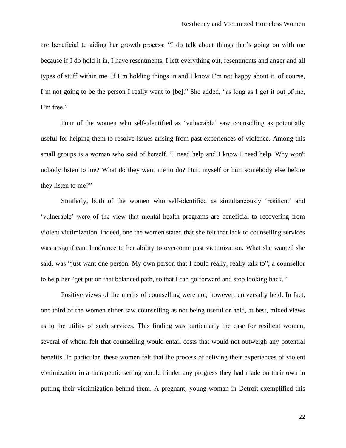are beneficial to aiding her growth process: "I do talk about things that's going on with me because if I do hold it in, I have resentments. I left everything out, resentments and anger and all types of stuff within me. If I'm holding things in and I know I'm not happy about it, of course, I'm not going to be the person I really want to [be]." She added, "as long as I got it out of me, I'm free."

Four of the women who self-identified as 'vulnerable' saw counselling as potentially useful for helping them to resolve issues arising from past experiences of violence. Among this small groups is a woman who said of herself, "I need help and I know I need help. Why won't nobody listen to me? What do they want me to do? Hurt myself or hurt somebody else before they listen to me?"

Similarly, both of the women who self-identified as simultaneously 'resilient' and 'vulnerable' were of the view that mental health programs are beneficial to recovering from violent victimization. Indeed, one the women stated that she felt that lack of counselling services was a significant hindrance to her ability to overcome past victimization. What she wanted she said, was "just want one person. My own person that I could really, really talk to", a counsellor to help her "get put on that balanced path, so that I can go forward and stop looking back."

Positive views of the merits of counselling were not, however, universally held. In fact, one third of the women either saw counselling as not being useful or held, at best, mixed views as to the utility of such services. This finding was particularly the case for resilient women, several of whom felt that counselling would entail costs that would not outweigh any potential benefits. In particular, these women felt that the process of reliving their experiences of violent victimization in a therapeutic setting would hinder any progress they had made on their own in putting their victimization behind them. A pregnant, young woman in Detroit exemplified this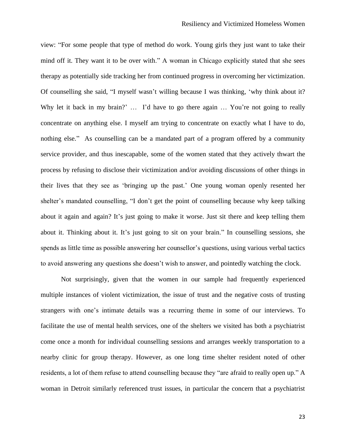view: "For some people that type of method do work. Young girls they just want to take their mind off it. They want it to be over with." A woman in Chicago explicitly stated that she sees therapy as potentially side tracking her from continued progress in overcoming her victimization. Of counselling she said, "I myself wasn't willing because I was thinking, 'why think about it? Why let it back in my brain?' ... I'd have to go there again ... You're not going to really concentrate on anything else. I myself am trying to concentrate on exactly what I have to do, nothing else." As counselling can be a mandated part of a program offered by a community service provider, and thus inescapable, some of the women stated that they actively thwart the process by refusing to disclose their victimization and/or avoiding discussions of other things in their lives that they see as 'bringing up the past.' One young woman openly resented her shelter's mandated counselling, "I don't get the point of counselling because why keep talking about it again and again? It's just going to make it worse. Just sit there and keep telling them about it. Thinking about it. It's just going to sit on your brain." In counselling sessions, she spends as little time as possible answering her counsellor's questions, using various verbal tactics to avoid answering any questions she doesn't wish to answer, and pointedly watching the clock.

Not surprisingly, given that the women in our sample had frequently experienced multiple instances of violent victimization, the issue of trust and the negative costs of trusting strangers with one's intimate details was a recurring theme in some of our interviews. To facilitate the use of mental health services, one of the shelters we visited has both a psychiatrist come once a month for individual counselling sessions and arranges weekly transportation to a nearby clinic for group therapy. However, as one long time shelter resident noted of other residents, a lot of them refuse to attend counselling because they "are afraid to really open up." A woman in Detroit similarly referenced trust issues, in particular the concern that a psychiatrist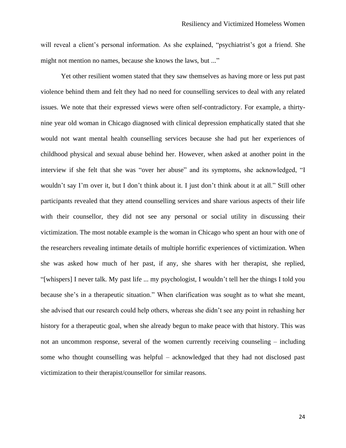will reveal a client's personal information. As she explained, "psychiatrist's got a friend. She might not mention no names, because she knows the laws, but ..."

Yet other resilient women stated that they saw themselves as having more or less put past violence behind them and felt they had no need for counselling services to deal with any related issues. We note that their expressed views were often self-contradictory. For example, a thirtynine year old woman in Chicago diagnosed with clinical depression emphatically stated that she would not want mental health counselling services because she had put her experiences of childhood physical and sexual abuse behind her. However, when asked at another point in the interview if she felt that she was "over her abuse" and its symptoms, she acknowledged, "I wouldn't say I'm over it, but I don't think about it. I just don't think about it at all." Still other participants revealed that they attend counselling services and share various aspects of their life with their counsellor, they did not see any personal or social utility in discussing their victimization. The most notable example is the woman in Chicago who spent an hour with one of the researchers revealing intimate details of multiple horrific experiences of victimization. When she was asked how much of her past, if any, she shares with her therapist, she replied, "[whispers] I never talk. My past life ... my psychologist, I wouldn't tell her the things I told you because she's in a therapeutic situation." When clarification was sought as to what she meant, she advised that our research could help others, whereas she didn't see any point in rehashing her history for a therapeutic goal, when she already begun to make peace with that history. This was not an uncommon response, several of the women currently receiving counseling – including some who thought counselling was helpful – acknowledged that they had not disclosed past victimization to their therapist/counsellor for similar reasons.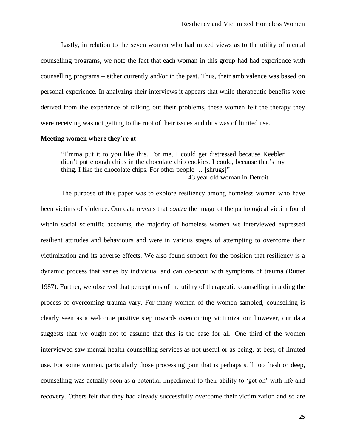Lastly, in relation to the seven women who had mixed views as to the utility of mental counselling programs, we note the fact that each woman in this group had had experience with counselling programs – either currently and/or in the past. Thus, their ambivalence was based on personal experience. In analyzing their interviews it appears that while therapeutic benefits were derived from the experience of talking out their problems, these women felt the therapy they were receiving was not getting to the root of their issues and thus was of limited use.

#### **Meeting women where they're at**

"I'mma put it to you like this. For me, I could get distressed because Keebler didn't put enough chips in the chocolate chip cookies. I could, because that's my thing. I like the chocolate chips. For other people … [shrugs]" – 43 year old woman in Detroit.

The purpose of this paper was to explore resiliency among homeless women who have been victims of violence. Our data reveals that *contra* the image of the pathological victim found within social scientific accounts, the majority of homeless women we interviewed expressed resilient attitudes and behaviours and were in various stages of attempting to overcome their victimization and its adverse effects. We also found support for the position that resiliency is a dynamic process that varies by individual and can co-occur with symptoms of trauma (Rutter 1987). Further, we observed that perceptions of the utility of therapeutic counselling in aiding the process of overcoming trauma vary. For many women of the women sampled, counselling is clearly seen as a welcome positive step towards overcoming victimization; however, our data suggests that we ought not to assume that this is the case for all. One third of the women interviewed saw mental health counselling services as not useful or as being, at best, of limited use. For some women, particularly those processing pain that is perhaps still too fresh or deep, counselling was actually seen as a potential impediment to their ability to 'get on' with life and recovery. Others felt that they had already successfully overcome their victimization and so are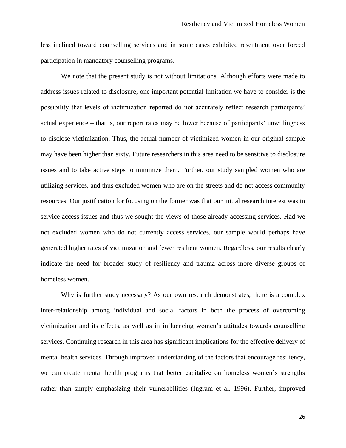less inclined toward counselling services and in some cases exhibited resentment over forced participation in mandatory counselling programs.

We note that the present study is not without limitations. Although efforts were made to address issues related to disclosure, one important potential limitation we have to consider is the possibility that levels of victimization reported do not accurately reflect research participants' actual experience – that is, our report rates may be lower because of participants' unwillingness to disclose victimization. Thus, the actual number of victimized women in our original sample may have been higher than sixty. Future researchers in this area need to be sensitive to disclosure issues and to take active steps to minimize them. Further, our study sampled women who are utilizing services, and thus excluded women who are on the streets and do not access community resources. Our justification for focusing on the former was that our initial research interest was in service access issues and thus we sought the views of those already accessing services. Had we not excluded women who do not currently access services, our sample would perhaps have generated higher rates of victimization and fewer resilient women. Regardless, our results clearly indicate the need for broader study of resiliency and trauma across more diverse groups of homeless women.

Why is further study necessary? As our own research demonstrates, there is a complex inter-relationship among individual and social factors in both the process of overcoming victimization and its effects, as well as in influencing women's attitudes towards counselling services. Continuing research in this area has significant implications for the effective delivery of mental health services. Through improved understanding of the factors that encourage resiliency, we can create mental health programs that better capitalize on homeless women's strengths rather than simply emphasizing their vulnerabilities (Ingram et al. 1996). Further, improved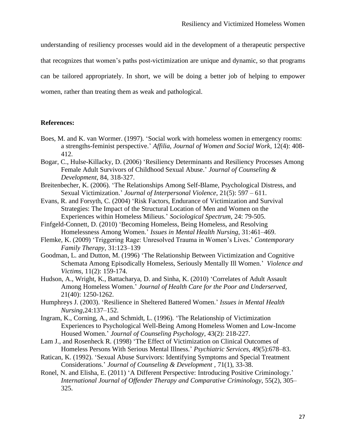understanding of resiliency processes would aid in the development of a therapeutic perspective that recognizes that women's paths post-victimization are unique and dynamic, so that programs can be tailored appropriately. In short, we will be doing a better job of helping to empower women, rather than treating them as weak and pathological.

# **References:**

- Boes, M. and K. van Wormer. (1997). 'Social work with homeless women in emergency rooms: a strengths-feminist perspective.' *Affilia, Journal of Women and Social Work*, 12(4): 408- 412.
- Bogar, C., Hulse-Killacky, D. (2006) 'Resiliency Determinants and Resiliency Processes Among Female Adult Survivors of Childhood Sexual Abuse.' *Journal of Counseling & Development*, 84, 318-327.
- Breitenbecher, K. (2006). 'The Relationships Among Self-Blame, Psychological Distress, and Sexual Victimization.' *Journal of Interpersonal Violence*, 21(5): 597 – 611.
- Evans, R. and Forsyth, C. (2004) 'Risk Factors, Endurance of Victimization and Survival Strategies: The Impact of the Structural Location of Men and Women on the Experiences within Homeless Milieus.' *Sociological Spectrum*, 24: 79-505.
- Finfgeld-Connett, D. (2010) 'Becoming Homeless, Being Homeless, and Resolving Homelessness Among Women.' *Issues in Mental Health Nursing*, 31:461–469.
- Flemke, K. (2009) 'Triggering Rage: Unresolved Trauma in Women's Lives.' *Contemporary Family Therapy*, 31:123–139
- Goodman, L. and Dutton, M. (1996) 'The Relationship Between Victimization and Cognitive Schemata Among Episodically Homeless, Seriously Mentally Ill Women.' *Violence and Victims,* 11(2): 159-174.
- Hudson, A., Wright, K., Battacharya, D. and Sinha, K. (2010) 'Correlates of Adult Assault Among Homeless Women.' *Journal of Health Care for the Poor and Underserved*, 21(40): 1250-1262.
- Humphreys J. (2003). 'Resilience in Sheltered Battered Women.' *Issues in Mental Health Nursing,*24:137–152.
- Ingram, K., Corning, A., and Schmidt, L. (1996). 'The Relationship of Victimization Experiences to Psychological Well-Being Among Homeless Women and Low-Income Housed Women.' *Journal of Counseling Psychology*, 43(2): 218-227.
- Lam J., and Rosenheck R. (1998) 'The Effect of Victimization on Clinical Outcomes of Homeless Persons With Serious Mental Illness.' *Psychiatric Services*, 49(5):678–83.
- Ratican, K. (1992). 'Sexual Abuse Survivors: Identifying Symptoms and Special Treatment Considerations.' *Journal of Counseling & Development ,* 71(1), 33-38.
- Ronel, N. and Elisha, E. (2011) 'A Different Perspective: Introducing Positive Criminology.' *International Journal of Offender Therapy and Comparative Criminology*, 55(2), 305– 325.